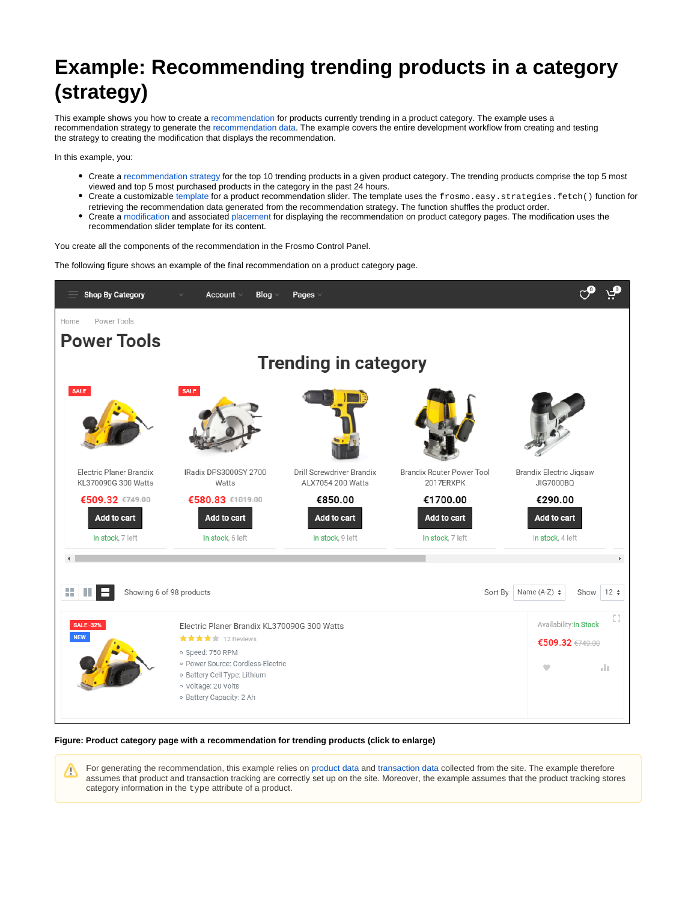# **Example: Recommending trending products in a category (strategy)**

This example shows you how to create a [recommendation](https://docs.frosmo.com/display/platform/Feature%3A+Recommendation) for products currently trending in a product category. The example uses a recommendation strategy to generate the [recommendation data.](https://docs.frosmo.com/display/platform/Glossary#Glossary-reco_data) The example covers the entire development workflow from creating and testing the strategy to creating the modification that displays the recommendation.

In this example, you:

の

- Create a [recommendation strategy](https://docs.frosmo.com/display/platform/Feature%3A+Recommendation+strategy) for the top 10 trending products in a given product category. The trending products comprise the top 5 most viewed and top 5 most purchased products in the category in the past 24 hours.
- Create a customizable [template](https://docs.frosmo.com/display/platform/Feature%3A+Template) for a product recommendation slider. The template uses the frosmo.easy.strategies.fetch() function for retrieving the recommendation data generated from the recommendation strategy. The function shuffles the product order.
- Create a [modification](https://docs.frosmo.com/display/platform/Feature%3A+Modification) and associated [placement](https://docs.frosmo.com/display/platform/Feature%3A+Placement) for displaying the recommendation on product category pages. The modification uses the recommendation slider template for its content.

You create all the components of the recommendation in the Frosmo Control Panel.

The following figure shows an example of the final recommendation on a product category page.



#### **Figure: Product category page with a recommendation for trending products (click to enlarge)**

For generating the recommendation, this example relies on [product data](https://docs.frosmo.com/display/platform/Glossary#Glossary-product_data) and [transaction data](https://docs.frosmo.com/display/platform/Glossary#Glossary-transaction_data) collected from the site. The example therefore Λ assumes that product and transaction tracking are correctly set up on the site. Moreover, the example assumes that the product tracking stores category information in the type attribute of a product.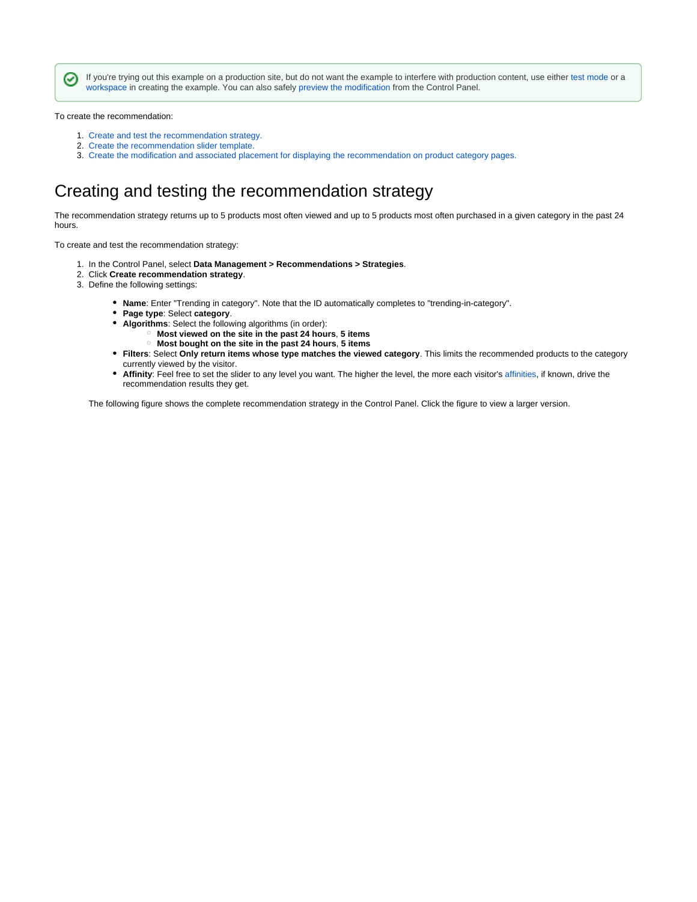If you're trying out this example on a production site, but do not want the example to interfere with production content, use either [test mode](https://docs.frosmo.com/display/ui/Test+mode) or a [workspace](https://docs.frosmo.com/display/platform/Feature%3A+Workspace) in creating the example. You can also safely [preview the modification](https://docs.frosmo.com/display/ui/Previewing+the+modification) from the Control Panel.

To create the recommendation:

☑

- 1. [Create and test the recommendation strategy.](#page-1-0)
- 2. [Create the recommendation slider template.](#page-2-0)
- 3. [Create the modification and associated placement for displaying the recommendation on product category pages.](#page-9-0)

### <span id="page-1-0"></span>Creating and testing the recommendation strategy

The recommendation strategy returns up to 5 products most often viewed and up to 5 products most often purchased in a given category in the past 24 hours.

To create and test the recommendation strategy:

- 1. In the Control Panel, select **Data Management > Recommendations > Strategies**.
- 2. Click **Create recommendation strategy**.
- 3. Define the following settings:
	- **Name**: Enter "Trending in category". Note that the ID automatically completes to "trending-in-category".
	- **Page type**: Select **category**.
	- **Algorithms**: Select the following algorithms (in order):
		- **Most viewed on the site in the past 24 hours**, **5 items**
		- **Most bought on the site in the past 24 hours**, **5 items**
	- **Filters**: Select **Only return items whose type matches the viewed category**. This limits the recommended products to the category currently viewed by the visitor.
	- **Affinity**: Feel free to set the slider to any level you want. The higher the level, the more each visitor's [affinities](https://docs.frosmo.com/display/platform/Feature%3A+Affinity), if known, drive the recommendation results they get.

The following figure shows the complete recommendation strategy in the Control Panel. Click the figure to view a larger version.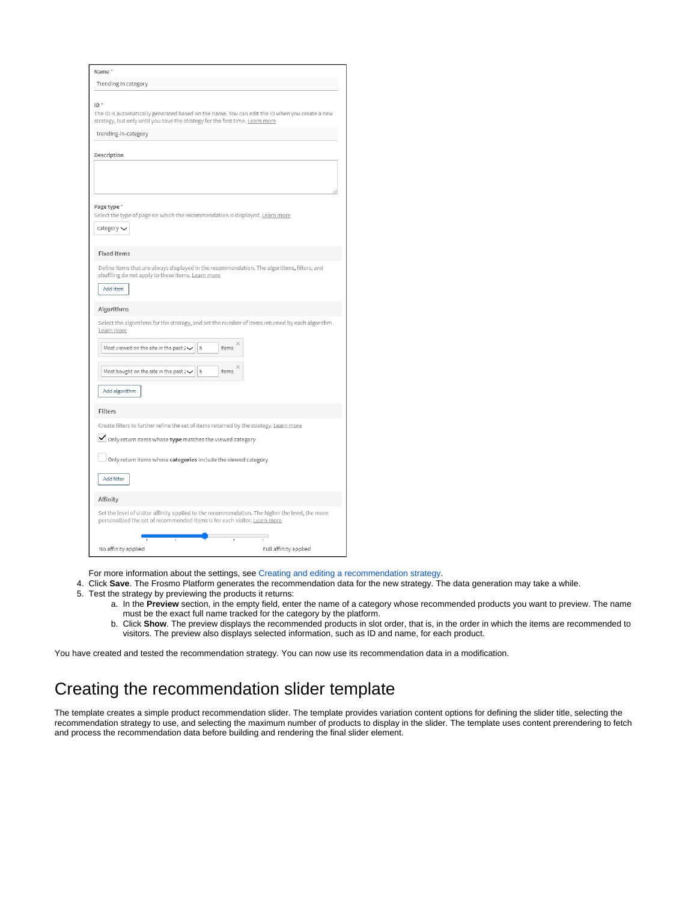| Name*                                                                                                                                                                                                                                                                 |
|-----------------------------------------------------------------------------------------------------------------------------------------------------------------------------------------------------------------------------------------------------------------------|
| Trending in category                                                                                                                                                                                                                                                  |
| $ID^*$<br>The ID is automatically generated based on the name. You can edit the ID when you create a new<br>strategy, but only until you save the strategy for the first time. Learn more<br>trending-in-category                                                     |
| Description                                                                                                                                                                                                                                                           |
| Page type *<br>Select the type of page on which the recommendation is displayed. Learn more<br>category $\smile$                                                                                                                                                      |
| <b>Fixed items</b>                                                                                                                                                                                                                                                    |
| Define items that are always displayed in the recommendation. The algorithms, filters, and<br>shuffling do not apply to these items. Learn more<br>Add item                                                                                                           |
| Algorithms                                                                                                                                                                                                                                                            |
| Select the algorithms for the strategy, and set the number of items returned by each algorithm.<br>Learn more<br>items<br>Most viewed on the site in the past 2 $\checkmark$<br>5<br>items<br>Most bought on the site in the past $2\checkmark$<br>5<br>Add algorithm |
| Filters                                                                                                                                                                                                                                                               |
| Create filters to further refine the set of items returned by the strategy. Learn more<br>$\blacktriangleright$ Only return items whose type matches the viewed category<br>Only return items whose categories include the viewed category<br>Add filter              |
|                                                                                                                                                                                                                                                                       |
| Affinity                                                                                                                                                                                                                                                              |
| Set the level of visitor affinity applied to the recommendation. The higher the level, the more<br>personalized the set of recommended items is for each visitor. Learn more                                                                                          |
| No affinity applied<br>Full affinity applied                                                                                                                                                                                                                          |

For more information about the settings, see [Creating and editing a recommendation strategy](https://docs.frosmo.com/display/ui/Creating+and+editing+a+recommendation+strategy#Creatingandeditingarecommendationstrategy-Recommendationstrategysettings).

- 4. Click **Save**. The Frosmo Platform generates the recommendation data for the new strategy. The data generation may take a while.
- 5. Test the strategy by previewing the products it returns:
	- a. In the **Preview** section, in the empty field, enter the name of a category whose recommended products you want to preview. The name must be the exact full name tracked for the category by the platform.
	- b. Click **Show**. The preview displays the recommended products in slot order, that is, in the order in which the items are recommended to visitors. The preview also displays selected information, such as ID and name, for each product.

You have created and tested the recommendation strategy. You can now use its recommendation data in a modification.

# <span id="page-2-0"></span>Creating the recommendation slider template

The template creates a simple product recommendation slider. The template provides variation content options for defining the slider title, selecting the recommendation strategy to use, and selecting the maximum number of products to display in the slider. The template uses content prerendering to fetch and process the recommendation data before building and rendering the final slider element.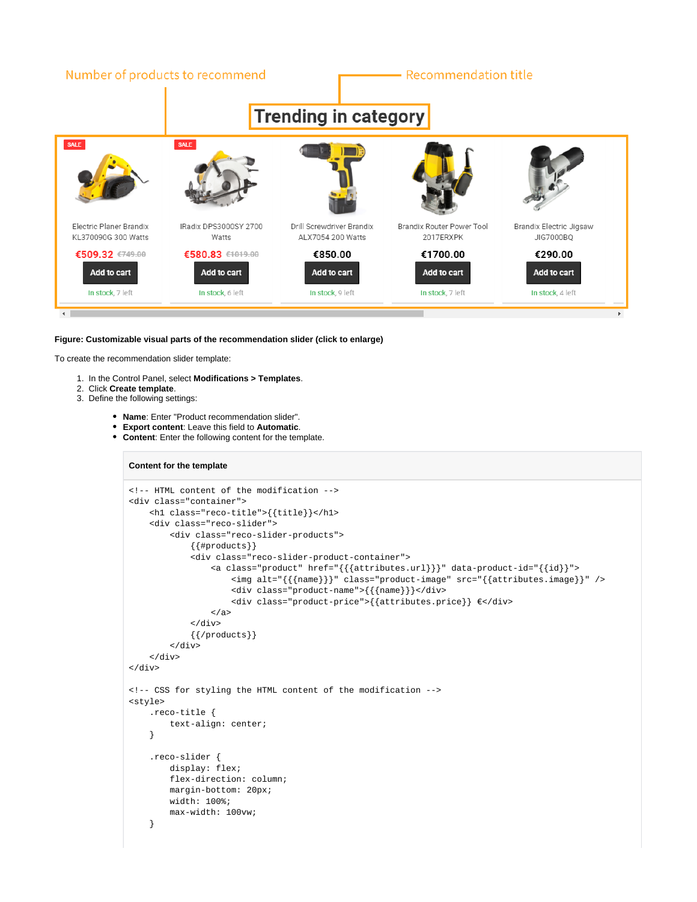

#### **Figure: Customizable visual parts of the recommendation slider (click to enlarge)**

To create the recommendation slider template:

- 1. In the Control Panel, select **Modifications > Templates**.
- 2. Click **Create template**.
- 3. Define the following settings:
	- **Name**: Enter "Product recommendation slider".
	- **Export content**: Leave this field to **Automatic**.
	- **Content**: Enter the following content for the template.

#### **Content for the template**

```
<!-- HTML content of the modification -->
<div class="container">
     <h1 class="reco-title">{{title}}</h1>
     <div class="reco-slider">
         <div class="reco-slider-products">
              {{#products}}
             <div class="reco-slider-product-container">
                  <a class="product" href="{{{attributes.url}}}" data-product-id="{{id}}">
                      <img alt="{{{name}}}" class="product-image" src="{{attributes.image}}" />
                      <div class="product-name">{{{name}}}</div>
                      <div class="product-price">{{attributes.price}} €</div>
                 \langlea>
              </div>
             {{/products}}
        \langlediv>\langlediv></div>
<!-- CSS for styling the HTML content of the modification -->
<style>
     .reco-title {
         text-align: center;
     }
     .reco-slider {
         display: flex;
         flex-direction: column;
         margin-bottom: 20px;
         width: 100%;
         max-width: 100vw;
     }
```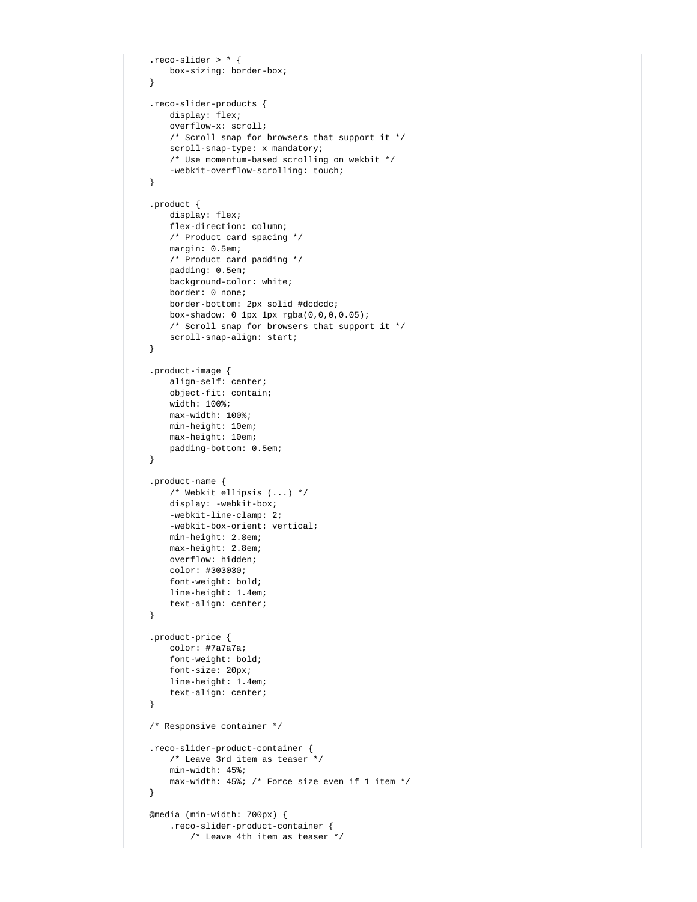```
 .reco-slider > * {
    box-sizing: border-box;
 }
 .reco-slider-products {
     display: flex;
     overflow-x: scroll;
     /* Scroll snap for browsers that support it */
     scroll-snap-type: x mandatory;
     /* Use momentum-based scrolling on wekbit */
     -webkit-overflow-scrolling: touch;
 }
 .product {
    display: flex;
    flex-direction: column;
     /* Product card spacing */
     margin: 0.5em;
     /* Product card padding */
     padding: 0.5em;
     background-color: white;
     border: 0 none;
     border-bottom: 2px solid #dcdcdc;
     box-shadow: 0 1px 1px rgba(0,0,0,0.05);
     /* Scroll snap for browsers that support it */
     scroll-snap-align: start;
 }
 .product-image {
    align-self: center;
     object-fit: contain;
     width: 100%;
     max-width: 100%;
    min-height: 10em;
    max-height: 10em;
    padding-bottom: 0.5em;
 }
 .product-name {
     /* Webkit ellipsis (...) */
    display: -webkit-box;
    -webkit-line-clamp: 2;
     -webkit-box-orient: vertical;
     min-height: 2.8em;
     max-height: 2.8em;
     overflow: hidden;
     color: #303030;
    font-weight: bold;
    line-height: 1.4em;
     text-align: center;
 }
 .product-price {
    color: #7a7a7a;
    font-weight: bold;
    font-size: 20px;
    line-height: 1.4em;
     text-align: center;
 }
 /* Responsive container */
 .reco-slider-product-container {
    /* Leave 3rd item as teaser */
     min-width: 45%;
     max-width: 45%; /* Force size even if 1 item */
 }
 @media (min-width: 700px) {
     .reco-slider-product-container {
         /* Leave 4th item as teaser */
```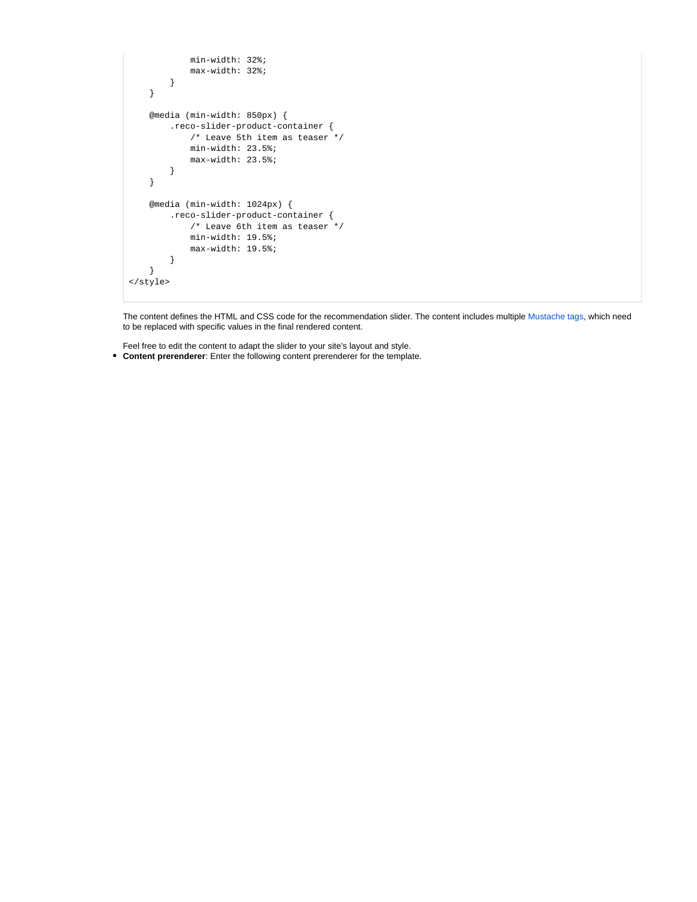```
 min-width: 32%;
             max-width: 32%;
         }
     }
     @media (min-width: 850px) {
         .reco-slider-product-container {
             /* Leave 5th item as teaser */
             min-width: 23.5%;
             max-width: 23.5%;
         }
     }
     @media (min-width: 1024px) {
         .reco-slider-product-container {
             /* Leave 6th item as teaser */
             min-width: 19.5%;
             max-width: 19.5%;
         }
     }
</style>
```
The content defines the HTML and CSS code for the recommendation slider. The content includes multiple [Mustache tags,](https://mustache.github.io/mustache.5.html) which need to be replaced with specific values in the final rendered content.

Feel free to edit the content to adapt the slider to your site's layout and style. **Content prerenderer**: Enter the following content prerenderer for the template.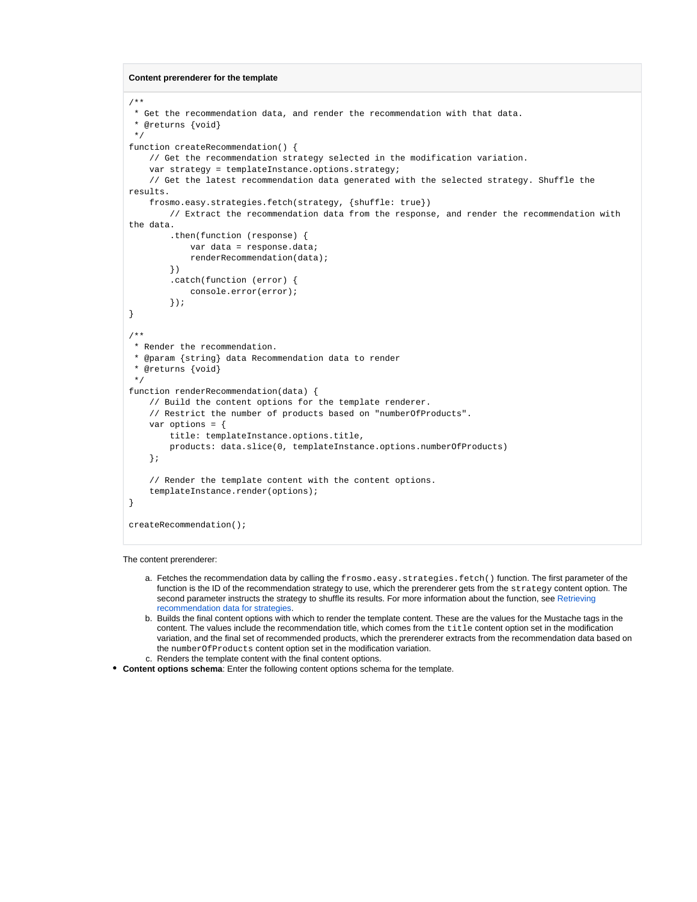**Content prerenderer for the template**

```
/**
 * Get the recommendation data, and render the recommendation with that data.
  * @returns {void}
  */
function createRecommendation() {
     // Get the recommendation strategy selected in the modification variation.
     var strategy = templateInstance.options.strategy;
     // Get the latest recommendation data generated with the selected strategy. Shuffle the 
results.
     frosmo.easy.strategies.fetch(strategy, {shuffle: true})
         // Extract the recommendation data from the response, and render the recommendation with 
the data.
         .then(function (response) {
             var data = response.data;
             renderRecommendation(data);
         })
         .catch(function (error) {
             console.error(error);
         });
}
/**
  * Render the recommendation.
  * @param {string} data Recommendation data to render
  * @returns {void}
  */
function renderRecommendation(data) {
     // Build the content options for the template renderer.
     // Restrict the number of products based on "numberOfProducts".
    var options = \{ title: templateInstance.options.title,
         products: data.slice(0, templateInstance.options.numberOfProducts)
     };
     // Render the template content with the content options.
     templateInstance.render(options);
}
createRecommendation();
```
The content prerenderer:

- a. Fetches the recommendation data by calling the frosmo.easy.strategies.fetch() function. The first parameter of the function is the ID of the recommendation strategy to use, which the prerenderer gets from the strategy content option. The second parameter instructs the strategy to shuffle its results. For more information about the function, see Retrieving [recommendation data for strategies.](https://docs.frosmo.com/display/dev/Retrieving+recommendation+data+for+strategies)
- b. Builds the final content options with which to render the template content. These are the values for the Mustache tags in the c. Renders the template content with the final content options. content. The values include the recommendation title, which comes from the title content option set in the modification variation, and the final set of recommended products, which the prerenderer extracts from the recommendation data based on the numberOfProducts content option set in the modification variation.
- **Content options schema**: Enter the following content options schema for the template.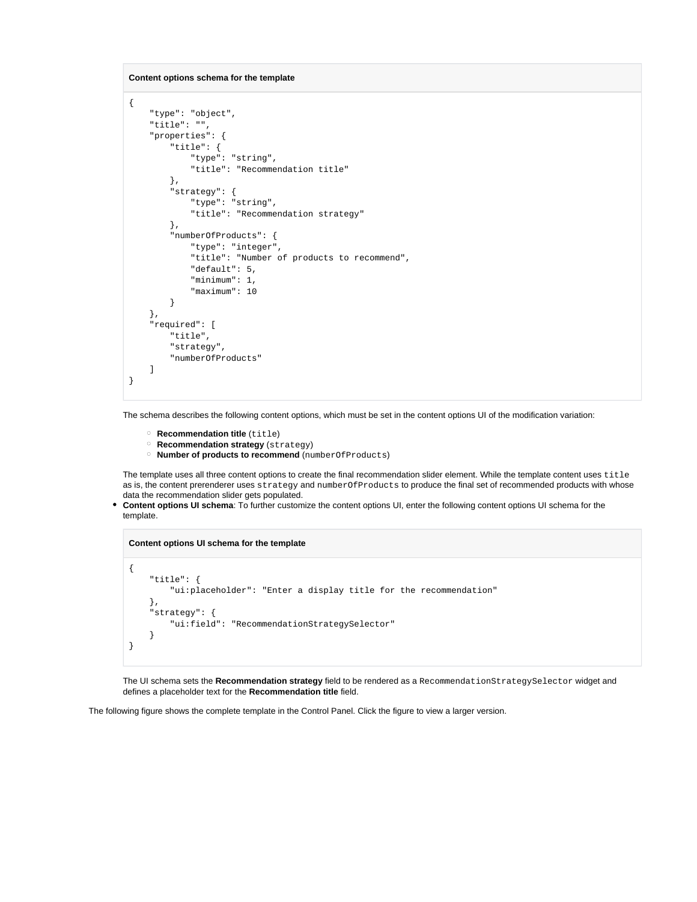**Content options schema for the template**

```
{
     "type": "object",
     "title": "",
     "properties": {
         "title": {
             "type": "string",
             "title": "Recommendation title"
         },
         "strategy": {
             "type": "string",
             "title": "Recommendation strategy"
         },
         "numberOfProducts": {
              "type": "integer",
              "title": "Number of products to recommend",
             "default": 5,
             "minimum": 1,
             "maximum": 10
         }
     },
     "required": [
         "title",
         "strategy",
         "numberOfProducts"
     ]
}
```
The schema describes the following content options, which must be set in the content options UI of the modification variation:

- **Recommendation title** (title)
- **Recommendation strategy** (strategy)
- **Number of products to recommend** (numberOfProducts)

The template uses all three content options to create the final recommendation slider element. While the template content uses title as is, the content prerenderer uses strategy and numberOfProducts to produce the final set of recommended products with whose data the recommendation slider gets populated.

 $\bullet$ **Content options UI schema**: To further customize the content options UI, enter the following content options UI schema for the template.

**Content options UI schema for the template**

```
{
     "title": {
         "ui:placeholder": "Enter a display title for the recommendation"
     },
     "strategy": {
         "ui:field": "RecommendationStrategySelector"
     }
}
```
The UI schema sets the **Recommendation strategy** field to be rendered as a RecommendationStrategySelector widget and defines a placeholder text for the **Recommendation title** field.

The following figure shows the complete template in the Control Panel. Click the figure to view a larger version.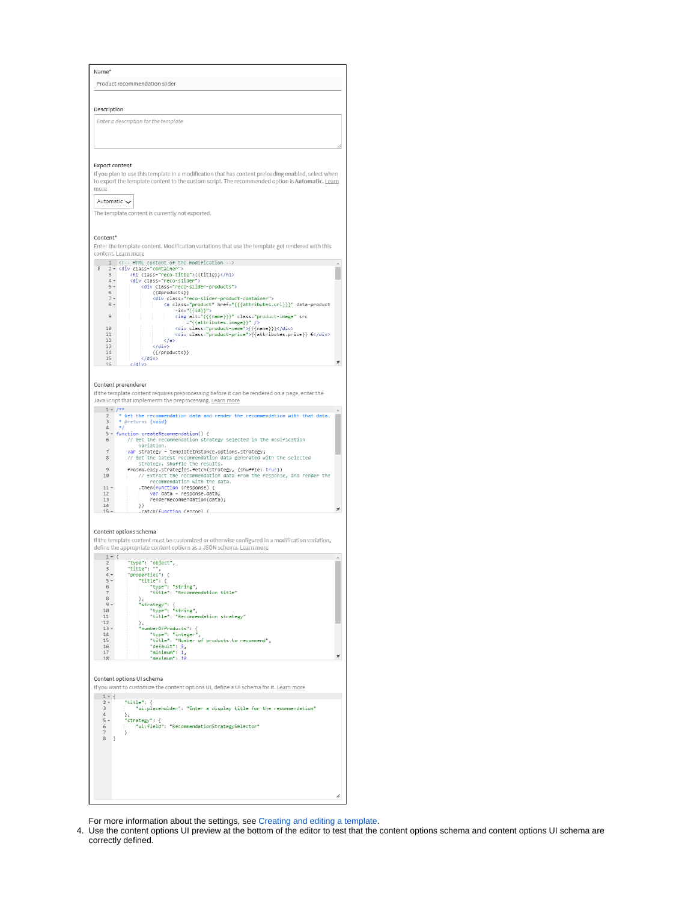| Description                                         |                                                                                                                                                                                                                                                                                                                              |
|-----------------------------------------------------|------------------------------------------------------------------------------------------------------------------------------------------------------------------------------------------------------------------------------------------------------------------------------------------------------------------------------|
|                                                     |                                                                                                                                                                                                                                                                                                                              |
|                                                     | Enter a description for the template                                                                                                                                                                                                                                                                                         |
| <b>Export content</b><br>more<br>Automatic $\smile$ | If you plan to use this template in a modification that has content preloading enabled, select when<br>to export the template content to the custom script. The recommended option is Automatic. Learn<br>The template content is currently not exported.                                                                    |
| Content*                                            |                                                                                                                                                                                                                                                                                                                              |
|                                                     | Enter the template content. Modification variations that use the template get rendered with this<br>content. Learn more                                                                                                                                                                                                      |
| i                                                   | 1 HTML content of the modification<br>2 - <div class="container"></div>                                                                                                                                                                                                                                                      |
| 3<br>$4 -$                                          | <h1 class="reco-title">{{title}}</h1><br><div class="reco-slider"></div>                                                                                                                                                                                                                                                     |
| $5 -$<br>6                                          | <div class="reco-slider-products"><br/>{{#products}}</div>                                                                                                                                                                                                                                                                   |
| $7*$                                                | <div class="reco-slider-product-container"></div>                                                                                                                                                                                                                                                                            |
| $8 -$                                               | <a class="product" data-product<br="" href="{{{attributes.url}}}"><math>-id = "\{id}\} "&gt;</math></a>                                                                                                                                                                                                                      |
| 9                                                   | <img alt="{{{name}}}" class="product-image" src<br=""/> ="{{attributes.image}}" />                                                                                                                                                                                                                                           |
| 10<br>11                                            | <div class="product-name">{{{name}}}</div><br><div class="product-price">{{attributes.price}} €</div>                                                                                                                                                                                                                        |
| 12                                                  | $\langle$ /a>                                                                                                                                                                                                                                                                                                                |
| 13<br>14                                            | <br>${$ { $\mathcal{L}}$ products}}                                                                                                                                                                                                                                                                                          |
| 15<br>16                                            | <br>                                                                                                                                                                                                                                                                                                                         |
| $\overline{7}$<br>8<br>$\overline{9}$<br>10         | var strategy = templateInstance.options.strategy;<br>// Get the latest recommendation data generated with the selected<br>strategy. Shuffle the results.<br>frosmo.easy.strategies.fetch(strategy, {shuffle: true})<br>// Extract the recommendation data from the response, and render the<br>recommendation with the data. |
| $11 -$<br>12                                        | then(function (response) {.<br>var data = response.data;                                                                                                                                                                                                                                                                     |
| 13                                                  |                                                                                                                                                                                                                                                                                                                              |
| 14                                                  | renderRecommendation(data);<br>$\rangle$                                                                                                                                                                                                                                                                                     |
| $15 -$                                              | .catch(function (error) {                                                                                                                                                                                                                                                                                                    |
|                                                     | Content options schema<br>If the template content must be customized or otherwise configured in a modification variation,<br>define the appropriate content options as a JSON schema. Learn more                                                                                                                             |
| $1 - ($<br>$\overline{2}$                           | "type": "object",                                                                                                                                                                                                                                                                                                            |
| 3<br>$4 -$                                          | title"<br>"properties": {                                                                                                                                                                                                                                                                                                    |
| $5 -$<br>6                                          | "title": {                                                                                                                                                                                                                                                                                                                   |
| 7<br>8                                              | "type": "string",<br>"title": "Recommendation title"                                                                                                                                                                                                                                                                         |
| $9 -$                                               | },                                                                                                                                                                                                                                                                                                                           |
| 10<br>11                                            | "strategy": {<br>"type": "string",<br>"title": "Recommendation strategy"                                                                                                                                                                                                                                                     |
| 12<br>$13 -$                                        | },<br>"numberOfProducts": {                                                                                                                                                                                                                                                                                                  |
| 14<br>15                                            |                                                                                                                                                                                                                                                                                                                              |
| 16<br>17                                            | "type": "integer",<br>"title": "Number of products to recommend",<br>"default": 5,<br>"minimum": $1$ ,                                                                                                                                                                                                                       |
| 18                                                  | "maximum": 10                                                                                                                                                                                                                                                                                                                |
|                                                     | Content options UI schema                                                                                                                                                                                                                                                                                                    |
|                                                     | If you want to customize the content options UI, define a UI schema for it. Learn more                                                                                                                                                                                                                                       |
| $1 - \{$<br>$2 -$                                   | "title": {                                                                                                                                                                                                                                                                                                                   |
| 3<br>$\overline{4}$                                 | "ui:placeholder": "Enter a display title for the recommendation"                                                                                                                                                                                                                                                             |
| $5 -$                                               | },<br>"strategy": {                                                                                                                                                                                                                                                                                                          |
| $\,$ 6<br>7                                         | "ui:field": "RecommendationStrategySelector"<br>ł                                                                                                                                                                                                                                                                            |
| 8<br>3                                              |                                                                                                                                                                                                                                                                                                                              |
|                                                     |                                                                                                                                                                                                                                                                                                                              |
|                                                     |                                                                                                                                                                                                                                                                                                                              |
|                                                     |                                                                                                                                                                                                                                                                                                                              |

For more information about the settings, see [Creating and editing a template.](https://docs.frosmo.com/display/ui/Creating+and+editing+a+template#Creatingandeditingatemplate-Templatesettings)

4. Use the content options UI preview at the bottom of the editor to test that the content options schema and content options UI schema are correctly defined.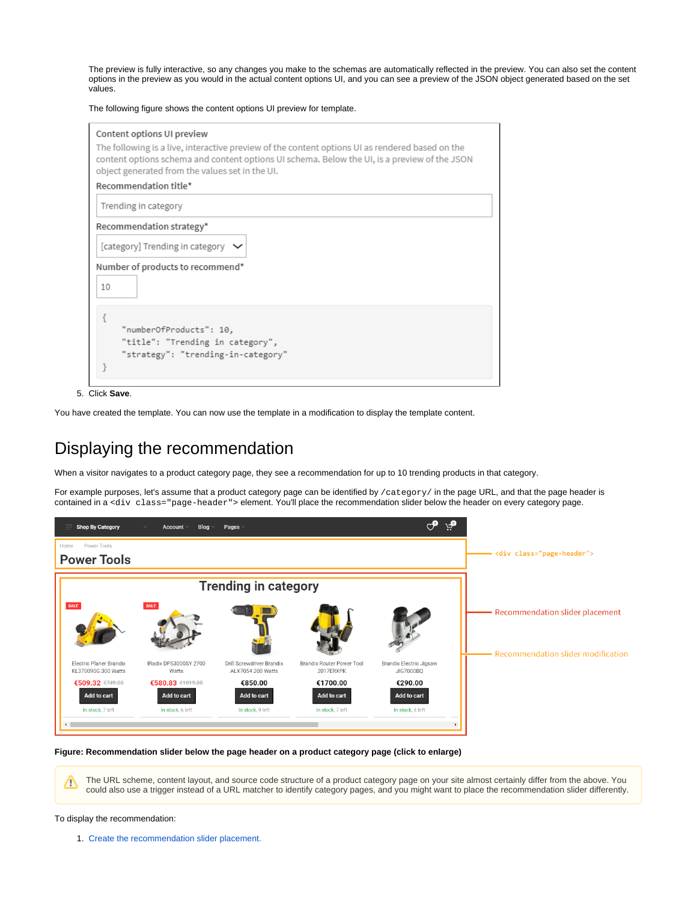The preview is fully interactive, so any changes you make to the schemas are automatically reflected in the preview. You can also set the content options in the preview as you would in the actual content options UI, and you can see a preview of the JSON object generated based on the set values.

The following figure shows the content options UI preview for template.

| Content options UI preview<br>The following is a live, interactive preview of the content options UI as rendered based on the<br>content options schema and content options UI schema. Below the UI, is a preview of the JSON<br>object generated from the values set in the UI. |
|----------------------------------------------------------------------------------------------------------------------------------------------------------------------------------------------------------------------------------------------------------------------------------|
| Recommendation title*                                                                                                                                                                                                                                                            |
| Trending in category                                                                                                                                                                                                                                                             |
| Recommendation strategy*                                                                                                                                                                                                                                                         |
| [category] Trending in category $\vee$                                                                                                                                                                                                                                           |
| Number of products to recommend*<br>10                                                                                                                                                                                                                                           |
| "numberOfProducts": 10,<br>"title": "Trending in category",<br>"strategy": "trending-in-category"                                                                                                                                                                                |

5. Click **Save**.

You have created the template. You can now use the template in a modification to display the template content.

# <span id="page-9-0"></span>Displaying the recommendation

When a visitor navigates to a product category page, they see a recommendation for up to 10 trending products in that category.

For example purposes, let's assume that a product category page can be identified by /category/ in the page URL, and that the page header is contained in a <div class="page-header"> element. You'll place the recommendation slider below the header on every category page.

| <b>Shop By Category</b>                            | Blog<br>Account                                     | Pages                                          |                                             |                                            |                                                                       |
|----------------------------------------------------|-----------------------------------------------------|------------------------------------------------|---------------------------------------------|--------------------------------------------|-----------------------------------------------------------------------|
| Power Tools<br>Home<br><b>Power Tools</b>          |                                                     |                                                |                                             |                                            | <div class="page-header"></div>                                       |
|                                                    |                                                     | <b>Trending in category</b>                    |                                             |                                            |                                                                       |
| SALE                                               | SALE                                                |                                                |                                             |                                            | Recommendation slider placement<br>Recommendation slider modification |
| Electric Planer Brandix<br>KL370090G 300 Watts     | IRadix DPS3000SY 2700<br>Watts                      | Drill Screwdriver Brandix<br>ALX7054 200 Watts | Brandix Router Power Tool<br>2017ERXPK      | Brandix Electric Jigsaw<br>JIG7000BO       |                                                                       |
| €509.32 €749.00<br>Add to cart<br>In stock, 7 left | €580.83 €1019.00<br>Add to cart<br>In stock. 6 left | €850.00<br>Add to cart<br>In stock. 9 left     | €1700.00<br>Add to cart<br>In stock. 7 left | €290.00<br>Add to cart<br>In stock. 4 left |                                                                       |
|                                                    |                                                     |                                                |                                             |                                            |                                                                       |

**Figure: Recommendation slider below the page header on a product category page (click to enlarge)**

The URL scheme, content layout, and source code structure of a product category page on your site almost certainly differ from the above. You Λ could also use a trigger instead of a URL matcher to identify category pages, and you might want to place the recommendation slider differently.

#### To display the recommendation:

1. [Create the recommendation slider placement.](#page-10-0)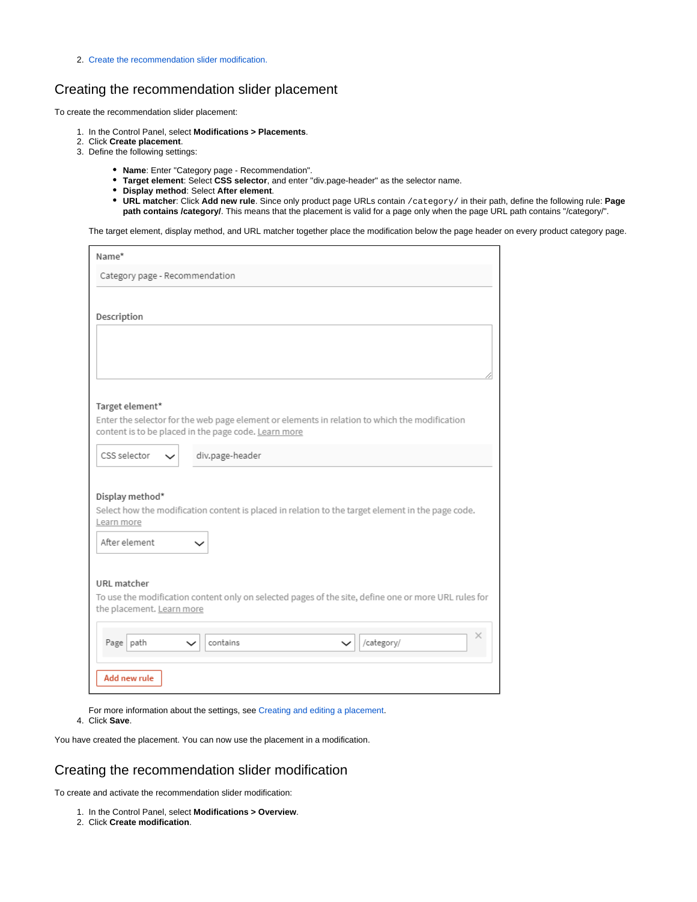2. [Create the recommendation slider modification.](#page-10-1)

### <span id="page-10-0"></span>Creating the recommendation slider placement

To create the recommendation slider placement:

- 1. In the Control Panel, select **Modifications > Placements**.
- 2. Click **Create placement**.
- 3. Define the following settings:
	- **Name**: Enter "Category page Recommendation".
	- **Target element**: Select **CSS selector**, and enter "div.page-header" as the selector name.
	- **Display method**: Select **After element**.
	- **URL matcher**: Click **Add new rule**. Since only product page URLs contain /category/ in their path, define the following rule: **Page**  path contains /category/. This means that the placement is valid for a page only when the page URL path contains "/category/".

The target element, display method, and URL matcher together place the modification below the page header on every product category page.

| Category page - Recommendation<br>Description<br>Target element*<br>Enter the selector for the web page element or elements in relation to which the modification<br>content is to be placed in the page code. Learn more<br>CSS selector<br>div.page-header<br>$\check{ }$<br>Display method*<br>Select how the modification content is placed in relation to the target element in the page code.<br>Learn more<br>After element<br>URL matcher<br>To use the modification content only on selected pages of the site, define one or more URL rules for<br>the placement. Learn more<br>×<br>Page path<br>contains<br>/category/<br>$\check{ }$<br>$\check{ }$ | Name* |
|------------------------------------------------------------------------------------------------------------------------------------------------------------------------------------------------------------------------------------------------------------------------------------------------------------------------------------------------------------------------------------------------------------------------------------------------------------------------------------------------------------------------------------------------------------------------------------------------------------------------------------------------------------------|-------|
|                                                                                                                                                                                                                                                                                                                                                                                                                                                                                                                                                                                                                                                                  |       |
|                                                                                                                                                                                                                                                                                                                                                                                                                                                                                                                                                                                                                                                                  |       |
|                                                                                                                                                                                                                                                                                                                                                                                                                                                                                                                                                                                                                                                                  |       |
|                                                                                                                                                                                                                                                                                                                                                                                                                                                                                                                                                                                                                                                                  |       |
|                                                                                                                                                                                                                                                                                                                                                                                                                                                                                                                                                                                                                                                                  |       |
|                                                                                                                                                                                                                                                                                                                                                                                                                                                                                                                                                                                                                                                                  |       |
|                                                                                                                                                                                                                                                                                                                                                                                                                                                                                                                                                                                                                                                                  |       |
|                                                                                                                                                                                                                                                                                                                                                                                                                                                                                                                                                                                                                                                                  |       |
|                                                                                                                                                                                                                                                                                                                                                                                                                                                                                                                                                                                                                                                                  |       |
|                                                                                                                                                                                                                                                                                                                                                                                                                                                                                                                                                                                                                                                                  |       |
|                                                                                                                                                                                                                                                                                                                                                                                                                                                                                                                                                                                                                                                                  |       |
|                                                                                                                                                                                                                                                                                                                                                                                                                                                                                                                                                                                                                                                                  |       |
|                                                                                                                                                                                                                                                                                                                                                                                                                                                                                                                                                                                                                                                                  |       |
|                                                                                                                                                                                                                                                                                                                                                                                                                                                                                                                                                                                                                                                                  |       |
|                                                                                                                                                                                                                                                                                                                                                                                                                                                                                                                                                                                                                                                                  |       |
|                                                                                                                                                                                                                                                                                                                                                                                                                                                                                                                                                                                                                                                                  |       |
|                                                                                                                                                                                                                                                                                                                                                                                                                                                                                                                                                                                                                                                                  |       |
|                                                                                                                                                                                                                                                                                                                                                                                                                                                                                                                                                                                                                                                                  |       |
|                                                                                                                                                                                                                                                                                                                                                                                                                                                                                                                                                                                                                                                                  |       |
|                                                                                                                                                                                                                                                                                                                                                                                                                                                                                                                                                                                                                                                                  |       |
|                                                                                                                                                                                                                                                                                                                                                                                                                                                                                                                                                                                                                                                                  |       |
|                                                                                                                                                                                                                                                                                                                                                                                                                                                                                                                                                                                                                                                                  |       |
| Add new rule                                                                                                                                                                                                                                                                                                                                                                                                                                                                                                                                                                                                                                                     |       |

For more information about the settings, see [Creating and editing a placement](https://docs.frosmo.com/display/ui/Creating+and+editing+a+placement#Creatingandeditingaplacement-Placementsettings).

4. Click **Save**.

You have created the placement. You can now use the placement in a modification.

### <span id="page-10-1"></span>Creating the recommendation slider modification

To create and activate the recommendation slider modification:

- 1. In the Control Panel, select **Modifications > Overview**.
- 2. Click **Create modification**.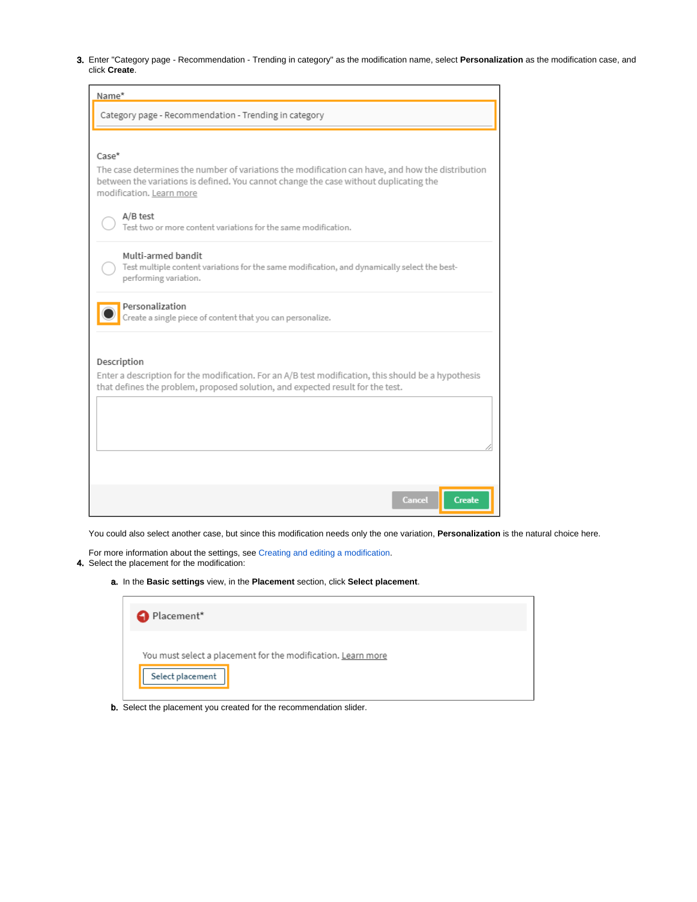3. Enter "Category page - Recommendation - Trending in category" as the modification name, select **Personalization** as the modification case, and click **Create**.

| Name*                                                                                                                                                                                                                 |
|-----------------------------------------------------------------------------------------------------------------------------------------------------------------------------------------------------------------------|
| Category page - Recommendation - Trending in category                                                                                                                                                                 |
|                                                                                                                                                                                                                       |
| $Case*$                                                                                                                                                                                                               |
| The case determines the number of variations the modification can have, and how the distribution<br>between the variations is defined. You cannot change the case without duplicating the<br>modification. Learn more |
| A/B test<br>Test two or more content variations for the same modification.                                                                                                                                            |
| Multi-armed bandit<br>Test multiple content variations for the same modification, and dynamically select the best-<br>performing variation.                                                                           |
| Personalization<br>Create a single piece of content that you can personalize.                                                                                                                                         |
|                                                                                                                                                                                                                       |
| Description<br>Enter a description for the modification. For an A/B test modification, this should be a hypothesis                                                                                                    |
| that defines the problem, proposed solution, and expected result for the test.                                                                                                                                        |
|                                                                                                                                                                                                                       |
|                                                                                                                                                                                                                       |
|                                                                                                                                                                                                                       |
|                                                                                                                                                                                                                       |
| <b>Create</b><br>Cancel                                                                                                                                                                                               |

You could also select another case, but since this modification needs only the one variation, **Personalization** is the natural choice here.

4. Select the placement for the modification: For more information about the settings, see [Creating and editing a modification.](https://docs.frosmo.com/display/ui/Creating+and+editing+a+modification)

a. In the **Basic settings** view, in the **Placement** section, click **Select placement**.

| Placement*                                                   |  |
|--------------------------------------------------------------|--|
| You must select a placement for the modification. Learn more |  |
| Select placement                                             |  |

b. Select the placement you created for the recommendation slider.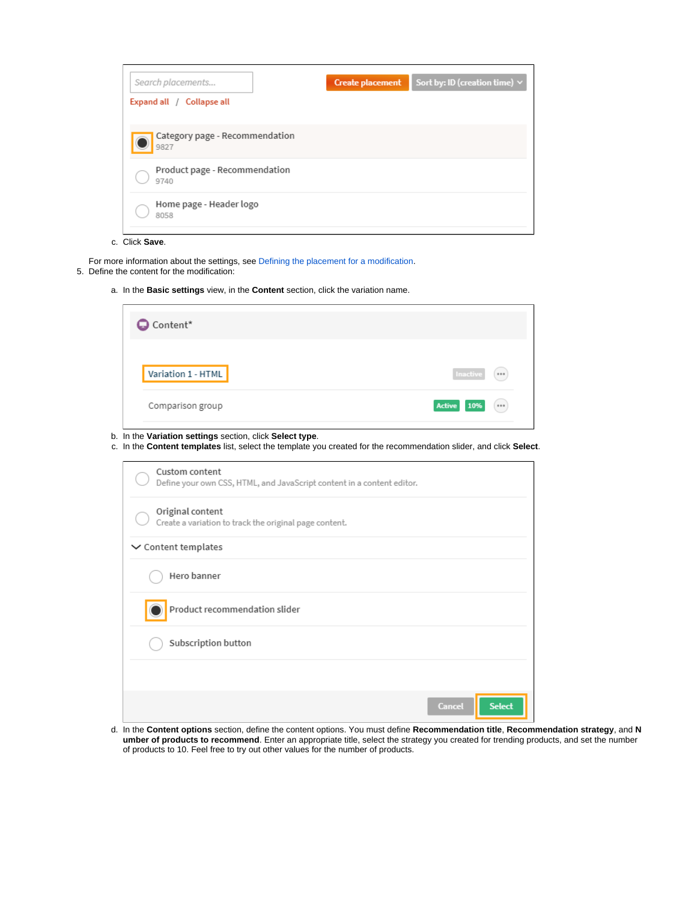| Search placements                      | <b>Create placement</b> | Sort by: ID (creation time) $\vee$ |
|----------------------------------------|-------------------------|------------------------------------|
| Expand all / Collapse all              |                         |                                    |
| Category page - Recommendation<br>9827 |                         |                                    |
| Product page - Recommendation<br>9740  |                         |                                    |
| Home page - Header logo<br>8058        |                         |                                    |

c. Click **Save**.

- For more information about the settings, see [Defining the placement for a modification](https://docs.frosmo.com/display/ui/Defining+the+placement+for+a+modification).
- 5. Define the content for the modification:
	- a. In the **Basic settings** view, in the **Content** section, click the variation name.

| <b>Q</b> Content*  |                           |
|--------------------|---------------------------|
| Variation 1 - HTML | Inactive<br>(             |
| Comparison group   | <b>Active</b><br>10%<br>( |

- b. In the **Variation settings** section, click **Select type**.
- c. In the **Content templates** list, select the template you created for the recommendation slider, and click **Select**.

| Custom content<br>Define your own CSS, HTML, and JavaScript content in a content editor. |               |               |
|------------------------------------------------------------------------------------------|---------------|---------------|
| Original content<br>Create a variation to track the original page content.               |               |               |
| $\vee$ Content templates                                                                 |               |               |
| Hero banner                                                                              |               |               |
| Product recommendation slider                                                            |               |               |
| Subscription button                                                                      |               |               |
|                                                                                          |               |               |
|                                                                                          | <b>Cancel</b> | <b>Select</b> |

d. In the **Content options** section, define the content options. You must define **Recommendation title**, **Recommendation strategy**, and **N umber of products to recommend**. Enter an appropriate title, select the strategy you created for trending products, and set the number of products to 10. Feel free to try out other values for the number of products.